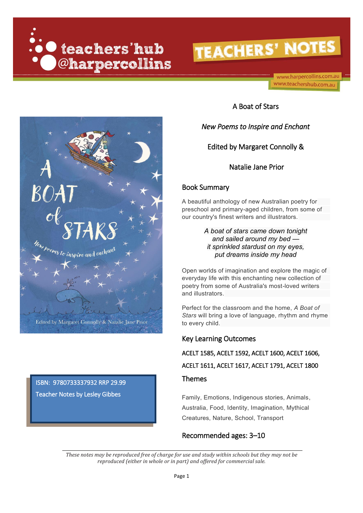**O** teachers'hub @harpercollins

# **TEACHERS' NOTES**

www.harpercollins.com.au www.teachershub.com.au



## ISBN: 9780733337932 RRP 29.99 Teacher Notes by Lesley Gibbes

A Boat of Stars

### *New Poems to Inspire and Enchant*

Edited by Margaret Connolly &

Natalie Jane Prior

### Book Summary

A beautiful anthology of new Australian poetry for preschool and primary-aged children, from some of our country's finest writers and illustrators.

> *A boat of stars came down tonight and sailed around my bed it sprinkled stardust on my eyes, put dreams inside my head*

Open worlds of imagination and explore the magic of everyday life with this enchanting new collection of poetry from some of Australia's most-loved writers and illustrators.

Perfect for the classroom and the home, *A Boat of Stars* will bring a love of language, rhythm and rhyme to every child.

### Key Learning Outcomes

ACELT 1585, ACELT 1592, ACELT 1600, ACELT 1606,

ACELT 1611, ACELT 1617, ACELT 1791, ACELT 1800

### Themes

Family, Emotions, Indigenous stories, Animals, Australia, Food, Identity, Imagination, Mythical Creatures, Nature, School, Transport

### Recommended ages: 3–10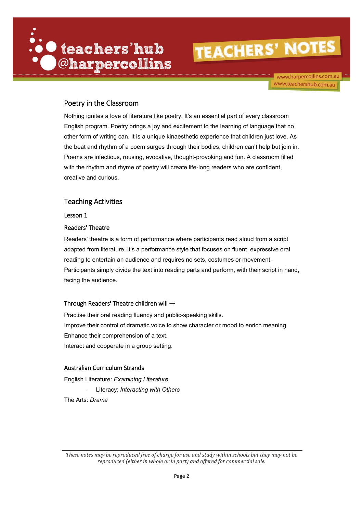

www.harpercollins.com.au www.teachershub.com.au

### Poetry in the Classroom

Nothing ignites a love of literature like poetry. It's an essential part of every classroom English program. Poetry brings a joy and excitement to the learning of language that no other form of writing can. It is a unique kinaesthetic experience that children just love. As the beat and rhythm of a poem surges through their bodies, children can't help but join in. Poems are infectious, rousing, evocative, thought-provoking and fun. A classroom filled with the rhythm and rhyme of poetry will create life-long readers who are confident, creative and curious.

### Teaching Activities

Lesson 1

### Readers' Theatre

Readers' theatre is a form of performance where participants read aloud from a script adapted from literature. It's a performance style that focuses on fluent, expressive oral reading to entertain an audience and requires no sets, costumes or movement. Participants simply divide the text into reading parts and perform, with their script in hand, facing the audience.

### Through Readers' Theatre children will —

Practise their oral reading fluency and public-speaking skills. Improve their control of dramatic voice to show character or mood to enrich meaning. Enhance their comprehension of a text. Interact and cooperate in a group setting.

### Australian Curriculum Strands

English Literature: *Examining Literature*

- Literacy: *Interacting with Others*

The Arts: *Drama*

*These notes may be reproduced free of charge for use and study within schools but they may not be reproduced (either in whole or in part) and offered for commercial sale.*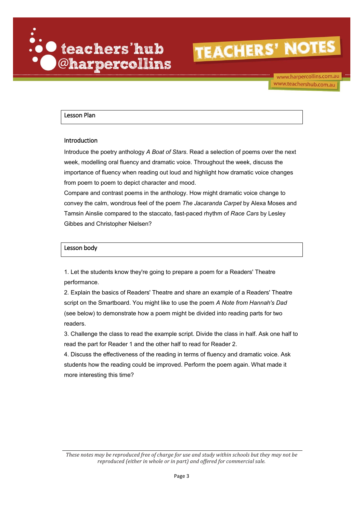

www.harpercollins.com.au www.teachershub.com.au

### Lesson Plan

#### Introduction

Introduce the poetry anthology *A Boat of Stars*. Read a selection of poems over the next week, modelling oral fluency and dramatic voice. Throughout the week, discuss the importance of fluency when reading out loud and highlight how dramatic voice changes from poem to poem to depict character and mood.

Compare and contrast poems in the anthology. How might dramatic voice change to convey the calm, wondrous feel of the poem *The Jacaranda Carpet* by Alexa Moses and Tamsin Ainslie compared to the staccato, fast-paced rhythm of *Race Cars* by Lesley Gibbes and Christopher Nielsen?

#### Lesson body

1. Let the students know they're going to prepare a poem for a Readers' Theatre performance.

2. Explain the basics of Readers' Theatre and share an example of a Readers' Theatre script on the Smartboard. You might like to use the poem *A Note from Hannah's Dad* (see below) to demonstrate how a poem might be divided into reading parts for two readers.

3. Challenge the class to read the example script. Divide the class in half. Ask one half to read the part for Reader 1 and the other half to read for Reader 2.

4. Discuss the effectiveness of the reading in terms of fluency and dramatic voice. Ask students how the reading could be improved. Perform the poem again. What made it more interesting this time?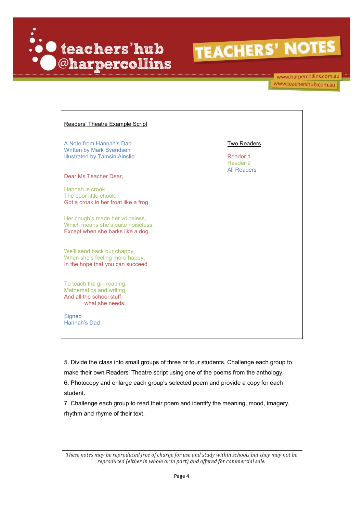

www.harpercollins.com.au www.teachershub.com.au

| Readers' Theatre Example Script                                                                            |                                            |
|------------------------------------------------------------------------------------------------------------|--------------------------------------------|
| A Note from Hannah's Dad<br><b>Written by Mark Svendsen</b><br><b>Illustrated by Tamsin Ainslie</b>        | <b>Two Readers</b><br>Reader 1<br>Reader 2 |
| Dear Ms Teacher Dear,                                                                                      | <b>All Readers</b>                         |
| Hannah is crook<br>The poor little chook,<br>Got a croak in her froat like a frog.                         |                                            |
| Her cough's made her voiceless,<br>Which means she's quite noiseless,<br>Except when she barks like a dog. |                                            |
| We'll send back our chappy,<br>When she's feeling more happy,<br>In the hope that you can succeed          |                                            |
| To teach the girl reading,<br>Mathematics and writing,<br>And all the school stuff<br>what she needs.      |                                            |
| Signed<br>Hannah's Dad                                                                                     |                                            |

5. Divide the class into small groups of three or four students. Challenge each group to make their own Readers' Theatre script using one of the poems from the anthology.

6. Photocopy and enlarge each group's selected poem and provide a copy for each student.

7. Challenge each group to read their poem and identify the meaning, mood, imagery, rhythm and rhyme of their text.

*These notes may be reproduced free of charge for use and study within schools but they may not be reproduced (either in whole or in part) and offered for commercial sale.*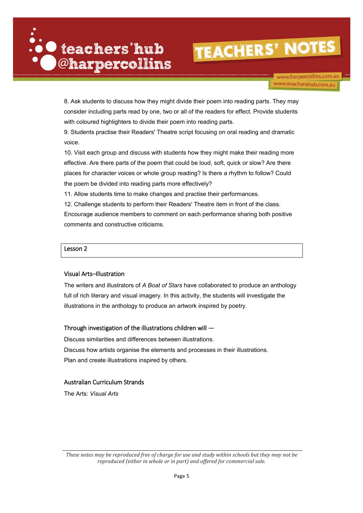

www.harpercollins.com.au www.teachershub.com.au

8. Ask students to discuss how they might divide their poem into reading parts. They may consider including parts read by one, two or all of the readers for effect. Provide students with coloured highlighters to divide their poem into reading parts.

9. Students practise their Readers' Theatre script focusing on oral reading and dramatic voice.

10. Visit each group and discuss with students how they might make their reading more effective. Are there parts of the poem that could be loud, soft, quick or slow? Are there places for character voices or whole group reading? Is there a rhythm to follow? Could the poem be divided into reading parts more effectively?

11. Allow students time to make changes and practise their performances.

12. Challenge students to perform their Readers' Theatre item in front of the class. Encourage audience members to comment on each performance sharing both positive comments and constructive criticisms.

### Lesson 2

### Visual Arts–Illustration

The writers and illustrators of *A Boat of Stars* have collaborated to produce an anthology full of rich literary and visual imagery. In this activity, the students will investigate the illustrations in the anthology to produce an artwork inspired by poetry.

### Through investigation of the illustrations children will —

Discuss similarities and differences between illustrations. Discuss how artists organise the elements and processes in their illustrations. Plan and create illustrations inspired by others.

### Australian Curriculum Strands

The Arts: *Visual Arts*

*These notes may be reproduced free of charge for use and study within schools but they may not be reproduced (either in whole or in part) and offered for commercial sale.*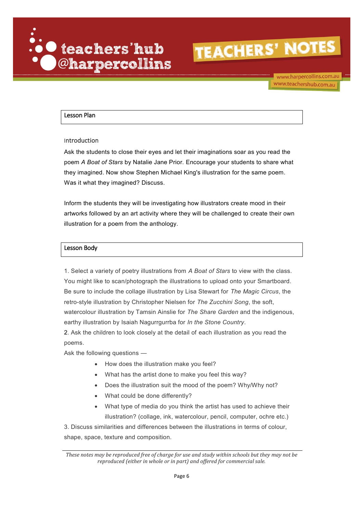

www.harpercollins.com.au www.teachershub.com.au

### Lesson Plan

#### Introduction

Ask the students to close their eyes and let their imaginations soar as you read the poem *A Boat of Stars* by Natalie Jane Prior. Encourage your students to share what they imagined. Now show Stephen Michael King's illustration for the same poem. Was it what they imagined? Discuss.

Inform the students they will be investigating how illustrators create mood in their artworks followed by an art activity where they will be challenged to create their own illustration for a poem from the anthology.

#### Lesson Body

1. Select a variety of poetry illustrations from *A Boat of Stars* to view with the class. You might like to scan/photograph the illustrations to upload onto your Smartboard. Be sure to include the collage illustration by Lisa Stewart for *The Magic Circus*, the retro-style illustration by Christopher Nielsen for *The Zucchini Song*, the soft, watercolour illustration by Tamsin Ainslie for *The Share Garden* and the indigenous, earthy illustration by Isaiah Nagurrgurrba for *In the Stone Country*.

2. Ask the children to look closely at the detail of each illustration as you read the poems.

Ask the following questions —

- How does the illustration make you feel?
- What has the artist done to make you feel this way?
- Does the illustration suit the mood of the poem? Why/Why not?
- What could be done differently?
- What type of media do you think the artist has used to achieve their illustration? (collage, ink, watercolour, pencil, computer, ochre etc.)

3. Discuss similarities and differences between the illustrations in terms of colour, shape, space, texture and composition.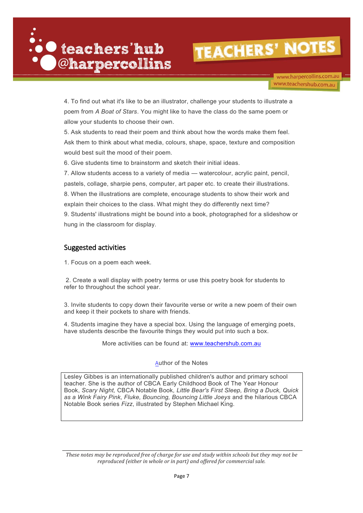

www.harpercollins.com.au www.teachershub.com.au

4. To find out what it's like to be an illustrator, challenge your students to illustrate a poem from *A Boat of Stars*. You might like to have the class do the same poem or allow your students to choose their own.

5. Ask students to read their poem and think about how the words make them feel. Ask them to think about what media, colours, shape, space, texture and composition would best suit the mood of their poem.

6. Give students time to brainstorm and sketch their initial ideas.

7. Allow students access to a variety of media — watercolour, acrylic paint, pencil, pastels, collage, sharpie pens, computer, art paper etc. to create their illustrations. 8. When the illustrations are complete, encourage students to show their work and explain their choices to the class. What might they do differently next time? 9. Students' illustrations might be bound into a book, photographed for a slideshow or hung in the classroom for display.

### Suggested activities

1. Focus on a poem each week.

2. Create a wall display with poetry terms or use [this poetry book](https://www.teacherspayteachers.com/Product/Free-Poetry-Vocabulary-Book-2397848) for students to refer to throughout the school year.

3. Invite students to copy down their favourite verse or write a new poem of their own and keep it their pockets to share with friends.

4. Students imagine they have a special box. Using the language of emerging poets, have students describe the favourite things they would put into such a box.

More activities can be found at: [www.teachershub.com.au](http://www.teachershub.com.au/)

### Author of the Notes

Lesley Gibbes is an internationally published children's author and primary school teacher. She is the author of CBCA Early Childhood Book of The Year Honour Book, *Scary Night,* CBCA Notable Book*, Little Bear's First Sleep, Bring a Duck, Quick as a Wink Fairy Pink, Fluke, Bouncing, Bouncing Little Joeys* and the hilarious CBCA Notable Book series *Fizz*, illustrated by Stephen Michael King.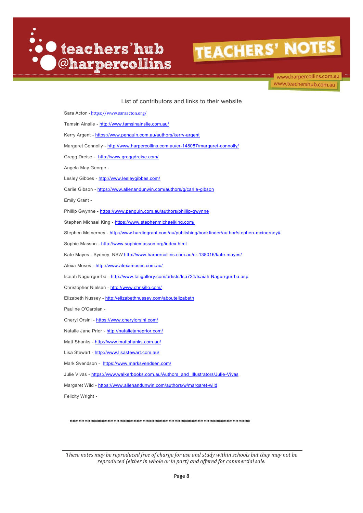

www.harpercollins.com.au www.teachershub.com.au

List of contributors and links to their website

| Sara Acton - https://www.saraacton.org/                                                           |
|---------------------------------------------------------------------------------------------------|
| Tamsin Ainslie - http://www.tamsinainslie.com.au/                                                 |
| Kerry Argent - https://www.penguin.com.au/authors/kerry-argent                                    |
| Margaret Connolly - http://www.harpercollins.com.au/cr-148087/margaret-connolly/                  |
| Gregg Dreise - http://www.greggdreise.com/                                                        |
| Angela May George -                                                                               |
| Lesley Gibbes - http://www.lesleygibbes.com/                                                      |
| Carlie Gibson - https://www.allenandunwin.com/authors/g/carlie-gibson                             |
| Emily Grant -                                                                                     |
| Phillip Gwynne - https://www.penguin.com.au/authors/phillip-gwynne                                |
| Stephen Michael King - https://www.stephenmichaelking.com/                                        |
| Stephen McInerney - http://www.hardiegrant.com/au/publishing/bookfinder/author/stephen-mcinerney# |
| Sophie Masson - http://www.sophiemasson.org/index.html                                            |
| Kate Mayes - Sydney, NSW http://www.harpercollins.com.au/cr-138016/kate-mayes/                    |
| Alexa Moses - http://www.alexamoses.com.au/                                                       |
| Isaiah Nagurrgurrba - http://www.taligallery.com/artists/Isa724/Isaiah-Nagurrgurrba.asp           |
| Christopher Nielsen - http://www.chrisillo.com/                                                   |
| Elizabeth Nussey - http://elizabethnussey.com/aboutelizabeth                                      |
| Pauline O'Carolan -                                                                               |
| Cheryl Orsini - https://www.cherylorsini.com/                                                     |
| Natalie Jane Prior - http://nataliejaneprior.com/                                                 |
| Matt Shanks - http://www.mattshanks.com.au/                                                       |
| Lisa Stewart - http://www.lisastewart.com.au/                                                     |
| Mark Svendson - https://www.marksvendsen.com/                                                     |
| Julie Vivas - https://www.walkerbooks.com.au/Authors and Illustrators/Julie-Vivas                 |
| Margaret Wild - https://www.allenandunwin.com/authors/w/margaret-wild                             |
| Felicity Wright -                                                                                 |
|                                                                                                   |
|                                                                                                   |

*These notes may be reproduced free of charge for use and study within schools but they may not be reproduced (either in whole or in part) and offered for commercial sale.*

\*\*\*\*\*\*\*\*\*\*\*\*\*\*\*\*\*\*\*\*\*\*\*\*\*\*\*\*\*\*\*\*\*\*\*\*\*\*\*\*\*\*\*\*\*\*\*\*\*\*\*\*\*\*\*\*\*\*\*\*\*\*